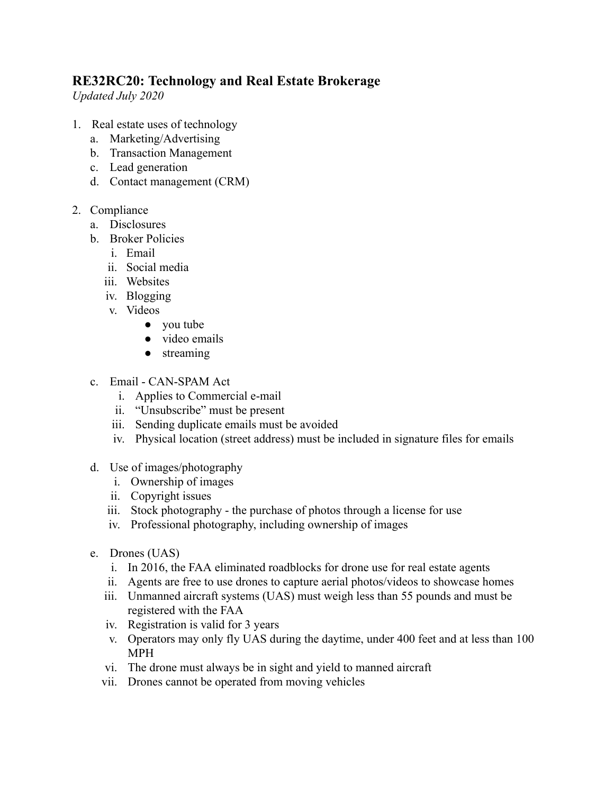## **RE32RC20: Technology and Real Estate Brokerage**

*Updated July 2020* 

- 1. Real estate uses of technology
	- a. Marketing/Advertising
	- b. Transaction Management
	- c. Lead generation
	- d. Contact management (CRM)
- 2. Compliance
	- a. Disclosures
	- b. Broker Policies
		- i. Email
		- ii. Social media
		- iii. Websites
		- iv. Blogging
		- v. Videos
			- you tube
			- video emails
			- streaming
	- c. Email CAN-SPAM Act
		- i. Applies to Commercial e-mail
		- ii. "Unsubscribe" must be present
		- iii. Sending duplicate emails must be avoided
		- iv. Physical location (street address) must be included in signature files for emails
	- d. Use of images/photography
		- i. Ownership of images
		- ii. Copyright issues
		- iii. Stock photography the purchase of photos through a license for use
		- iv. Professional photography, including ownership of images
	- e. Drones (UAS)
		- i. In 2016, the FAA eliminated roadblocks for drone use for real estate agents
		- ii. Agents are free to use drones to capture aerial photos/videos to showcase homes
		- iii. Unmanned aircraft systems (UAS) must weigh less than 55 pounds and must be registered with the FAA
		- iv. Registration is valid for 3 years
		- v. Operators may only fly UAS during the daytime, under 400 feet and at less than 100 MPH
		- vi. The drone must always be in sight and yield to manned aircraft
		- vii. Drones cannot be operated from moving vehicles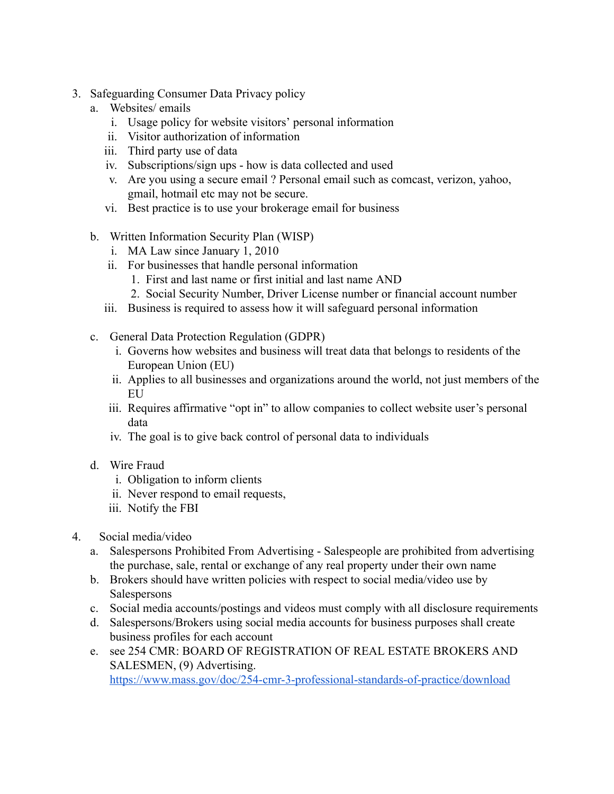- 3. Safeguarding Consumer Data Privacy policy
	- a. Websites/ emails
		- i. Usage policy for website visitors' personal information
		- ii. Visitor authorization of information
		- iii. Third party use of data
		- iv. Subscriptions/sign ups how is data collected and used
		- v. Are you using a secure email ? Personal email such as comcast, verizon, yahoo, gmail, hotmail etc may not be secure.
		- vi. Best practice is to use your brokerage email for business
	- b. Written Information Security Plan (WISP)
		- i. MA Law since January 1, 2010
		- ii. For businesses that handle personal information
			- 1. First and last name or first initial and last name AND
			- 2. Social Security Number, Driver License number or financial account number
		- iii. Business is required to assess how it will safeguard personal information
	- c. General Data Protection Regulation (GDPR)
		- i. Governs how websites and business will treat data that belongs to residents of the European Union (EU)
		- ii. Applies to all businesses and organizations around the world, not just members of the **EU**
		- iii. Requires affirmative "opt in" to allow companies to collect website user's personal data
		- iv. The goal is to give back control of personal data to individuals
	- d. Wire Fraud
		- i. Obligation to inform clients
		- ii. Never respond to email requests,
		- iii. Notify the FBI
- 4. Social media/video
	- a. Salespersons Prohibited From Advertising Salespeople are prohibited from advertising the purchase, sale, rental or exchange of any real property under their own name
	- b. Brokers should have written policies with respect to social media/video use by Salespersons
	- c. Social media accounts/postings and videos must comply with all disclosure requirements
	- d. Salespersons/Brokers using social media accounts for business purposes shall create business profiles for each account
	- e. see 254 CMR: BOARD OF REGISTRATION OF REAL ESTATE BROKERS AND SALESMEN, (9) Advertising.

<https://www.mass.gov/doc/254-cmr-3-professional-standards-of-practice/download>